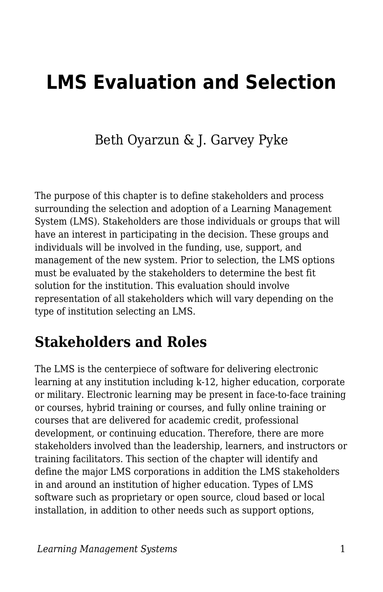# **LMS Evaluation and Selection**

Beth Oyarzun & J. Garvey Pyke

The purpose of this chapter is to define stakeholders and process surrounding the selection and adoption of a Learning Management System (LMS). Stakeholders are those individuals or groups that will have an interest in participating in the decision. These groups and individuals will be involved in the funding, use, support, and management of the new system. Prior to selection, the LMS options must be evaluated by the stakeholders to determine the best fit solution for the institution. This evaluation should involve representation of all stakeholders which will vary depending on the type of institution selecting an LMS.

### **Stakeholders and Roles**

The LMS is the centerpiece of software for delivering electronic learning at any institution including k-12, higher education, corporate or military. Electronic learning may be present in face-to-face training or courses, hybrid training or courses, and fully online training or courses that are delivered for academic credit, professional development, or continuing education. Therefore, there are more stakeholders involved than the leadership, learners, and instructors or training facilitators. This section of the chapter will identify and define the major LMS corporations in addition the LMS stakeholders in and around an institution of higher education. Types of LMS software such as proprietary or open source, cloud based or local installation, in addition to other needs such as support options,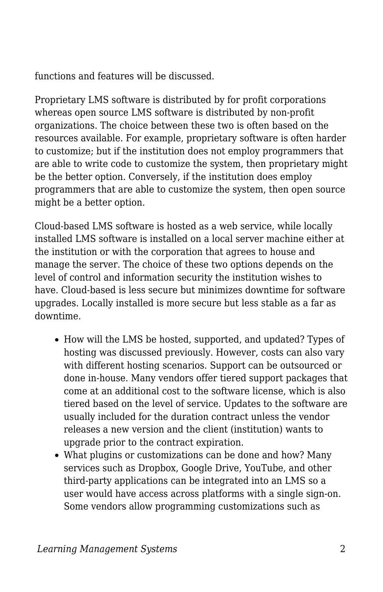functions and features will be discussed.

Proprietary LMS software is distributed by for profit corporations whereas open source LMS software is distributed by non-profit organizations. The choice between these two is often based on the resources available. For example, proprietary software is often harder to customize; but if the institution does not employ programmers that are able to write code to customize the system, then proprietary might be the better option. Conversely, if the institution does employ programmers that are able to customize the system, then open source might be a better option.

Cloud-based LMS software is hosted as a web service, while locally installed LMS software is installed on a local server machine either at the institution or with the corporation that agrees to house and manage the server. The choice of these two options depends on the level of control and information security the institution wishes to have. Cloud-based is less secure but minimizes downtime for software upgrades. Locally installed is more secure but less stable as a far as downtime.

- How will the LMS be hosted, supported, and updated? Types of hosting was discussed previously. However, costs can also vary with different hosting scenarios. Support can be outsourced or done in-house. Many vendors offer tiered support packages that come at an additional cost to the software license, which is also tiered based on the level of service. Updates to the software are usually included for the duration contract unless the vendor releases a new version and the client (institution) wants to upgrade prior to the contract expiration.
- What plugins or customizations can be done and how? Many services such as Dropbox, Google Drive, YouTube, and other third-party applications can be integrated into an LMS so a user would have access across platforms with a single sign-on. Some vendors allow programming customizations such as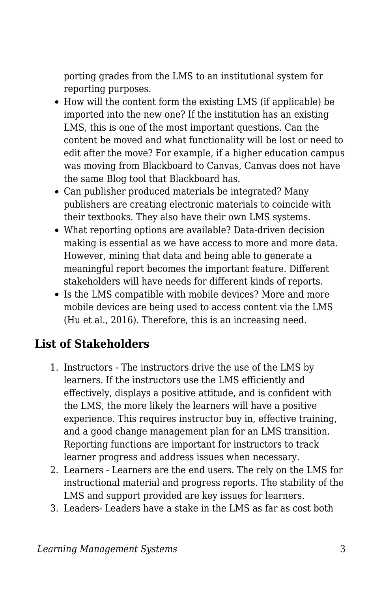porting grades from the LMS to an institutional system for reporting purposes.

- How will the content form the existing LMS (if applicable) be imported into the new one? If the institution has an existing LMS, this is one of the most important questions. Can the content be moved and what functionality will be lost or need to edit after the move? For example, if a higher education campus was moving from Blackboard to Canvas, Canvas does not have the same Blog tool that Blackboard has.
- Can publisher produced materials be integrated? Many publishers are creating electronic materials to coincide with their textbooks. They also have their own LMS systems.
- What reporting options are available? Data-driven decision making is essential as we have access to more and more data. However, mining that data and being able to generate a meaningful report becomes the important feature. Different stakeholders will have needs for different kinds of reports.
- Is the LMS compatible with mobile devices? More and more mobile devices are being used to access content via the LMS (Hu et al., 2016). Therefore, this is an increasing need.

#### **List of Stakeholders**

- 1. Instructors The instructors drive the use of the LMS by learners. If the instructors use the LMS efficiently and effectively, displays a positive attitude, and is confident with the LMS, the more likely the learners will have a positive experience. This requires instructor buy in, effective training, and a good change management plan for an LMS transition. Reporting functions are important for instructors to track learner progress and address issues when necessary.
- 2. Learners Learners are the end users. The rely on the LMS for instructional material and progress reports. The stability of the LMS and support provided are key issues for learners.
- 3. Leaders- Leaders have a stake in the LMS as far as cost both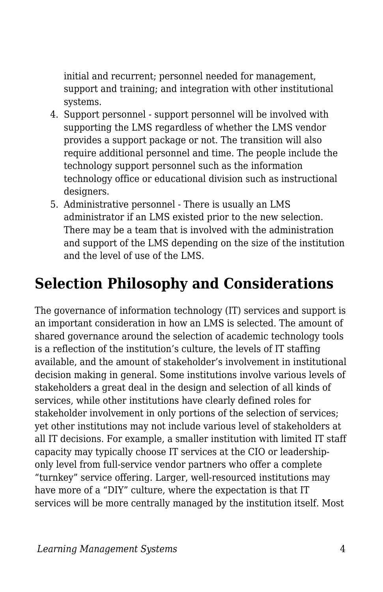initial and recurrent; personnel needed for management, support and training; and integration with other institutional systems.

- 4. Support personnel support personnel will be involved with supporting the LMS regardless of whether the LMS vendor provides a support package or not. The transition will also require additional personnel and time. The people include the technology support personnel such as the information technology office or educational division such as instructional designers.
- 5. Administrative personnel There is usually an LMS administrator if an LMS existed prior to the new selection. There may be a team that is involved with the administration and support of the LMS depending on the size of the institution and the level of use of the LMS.

### **Selection Philosophy and Considerations**

The governance of information technology (IT) services and support is an important consideration in how an LMS is selected. The amount of shared governance around the selection of academic technology tools is a reflection of the institution's culture, the levels of IT staffing available, and the amount of stakeholder's involvement in institutional decision making in general. Some institutions involve various levels of stakeholders a great deal in the design and selection of all kinds of services, while other institutions have clearly defined roles for stakeholder involvement in only portions of the selection of services; yet other institutions may not include various level of stakeholders at all IT decisions. For example, a smaller institution with limited IT staff capacity may typically choose IT services at the CIO or leadershiponly level from full-service vendor partners who offer a complete "turnkey" service offering. Larger, well-resourced institutions may have more of a "DIY" culture, where the expectation is that IT services will be more centrally managed by the institution itself. Most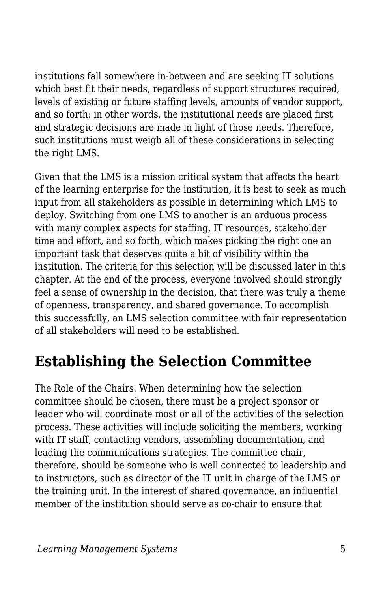institutions fall somewhere in-between and are seeking IT solutions which best fit their needs, regardless of support structures required, levels of existing or future staffing levels, amounts of vendor support, and so forth: in other words, the institutional needs are placed first and strategic decisions are made in light of those needs. Therefore, such institutions must weigh all of these considerations in selecting the right LMS.

Given that the LMS is a mission critical system that affects the heart of the learning enterprise for the institution, it is best to seek as much input from all stakeholders as possible in determining which LMS to deploy. Switching from one LMS to another is an arduous process with many complex aspects for staffing, IT resources, stakeholder time and effort, and so forth, which makes picking the right one an important task that deserves quite a bit of visibility within the institution. The criteria for this selection will be discussed later in this chapter. At the end of the process, everyone involved should strongly feel a sense of ownership in the decision, that there was truly a theme of openness, transparency, and shared governance. To accomplish this successfully, an LMS selection committee with fair representation of all stakeholders will need to be established.

### **Establishing the Selection Committee**

The Role of the Chairs. When determining how the selection committee should be chosen, there must be a project sponsor or leader who will coordinate most or all of the activities of the selection process. These activities will include soliciting the members, working with IT staff, contacting vendors, assembling documentation, and leading the communications strategies. The committee chair, therefore, should be someone who is well connected to leadership and to instructors, such as director of the IT unit in charge of the LMS or the training unit. In the interest of shared governance, an influential member of the institution should serve as co-chair to ensure that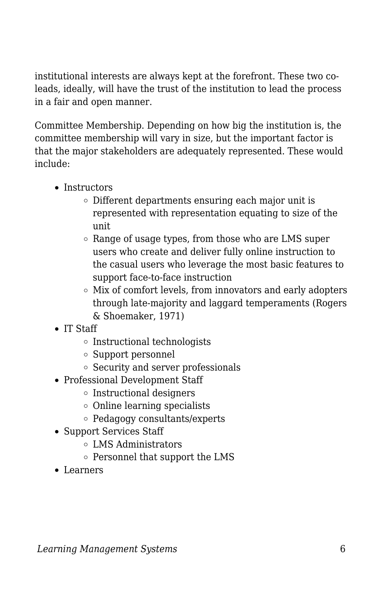institutional interests are always kept at the forefront. These two coleads, ideally, will have the trust of the institution to lead the process in a fair and open manner.

Committee Membership. Depending on how big the institution is, the committee membership will vary in size, but the important factor is that the major stakeholders are adequately represented. These would include:

- Instructors
	- Different departments ensuring each major unit is represented with representation equating to size of the unit
	- $\circ$  Range of usage types, from those who are LMS super users who create and deliver fully online instruction to the casual users who leverage the most basic features to support face-to-face instruction
	- $\circ$  Mix of comfort levels, from innovators and early adopters through late-majority and laggard temperaments (Rogers & Shoemaker, 1971)
- IT Staff
	- Instructional technologists
	- Support personnel
	- Security and server professionals
- Professional Development Staff
	- $\circ$  Instructional designers
	- Online learning specialists
	- Pedagogy consultants/experts
- Support Services Staff
	- LMS Administrators
	- o Personnel that support the LMS
- Learners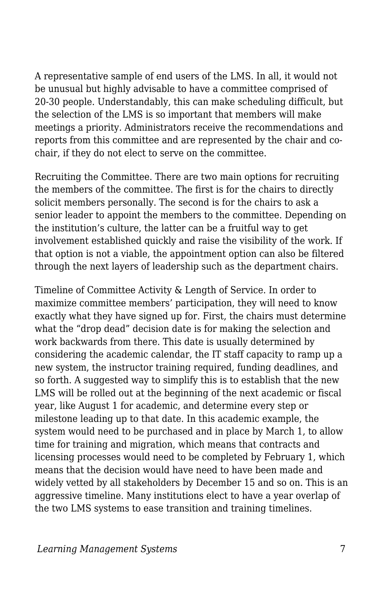A representative sample of end users of the LMS. In all, it would not be unusual but highly advisable to have a committee comprised of 20-30 people. Understandably, this can make scheduling difficult, but the selection of the LMS is so important that members will make meetings a priority. Administrators receive the recommendations and reports from this committee and are represented by the chair and cochair, if they do not elect to serve on the committee.

Recruiting the Committee. There are two main options for recruiting the members of the committee. The first is for the chairs to directly solicit members personally. The second is for the chairs to ask a senior leader to appoint the members to the committee. Depending on the institution's culture, the latter can be a fruitful way to get involvement established quickly and raise the visibility of the work. If that option is not a viable, the appointment option can also be filtered through the next layers of leadership such as the department chairs.

Timeline of Committee Activity & Length of Service. In order to maximize committee members' participation, they will need to know exactly what they have signed up for. First, the chairs must determine what the "drop dead" decision date is for making the selection and work backwards from there. This date is usually determined by considering the academic calendar, the IT staff capacity to ramp up a new system, the instructor training required, funding deadlines, and so forth. A suggested way to simplify this is to establish that the new LMS will be rolled out at the beginning of the next academic or fiscal year, like August 1 for academic, and determine every step or milestone leading up to that date. In this academic example, the system would need to be purchased and in place by March 1, to allow time for training and migration, which means that contracts and licensing processes would need to be completed by February 1, which means that the decision would have need to have been made and widely vetted by all stakeholders by December 15 and so on. This is an aggressive timeline. Many institutions elect to have a year overlap of the two LMS systems to ease transition and training timelines.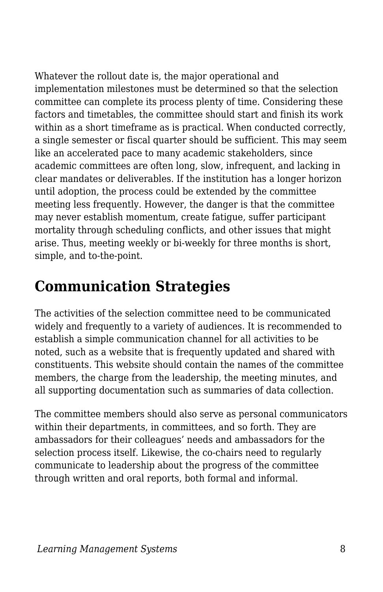Whatever the rollout date is, the major operational and implementation milestones must be determined so that the selection committee can complete its process plenty of time. Considering these factors and timetables, the committee should start and finish its work within as a short timeframe as is practical. When conducted correctly, a single semester or fiscal quarter should be sufficient. This may seem like an accelerated pace to many academic stakeholders, since academic committees are often long, slow, infrequent, and lacking in clear mandates or deliverables. If the institution has a longer horizon until adoption, the process could be extended by the committee meeting less frequently. However, the danger is that the committee may never establish momentum, create fatigue, suffer participant mortality through scheduling conflicts, and other issues that might arise. Thus, meeting weekly or bi-weekly for three months is short, simple, and to-the-point.

### **Communication Strategies**

The activities of the selection committee need to be communicated widely and frequently to a variety of audiences. It is recommended to establish a simple communication channel for all activities to be noted, such as a website that is frequently updated and shared with constituents. This website should contain the names of the committee members, the charge from the leadership, the meeting minutes, and all supporting documentation such as summaries of data collection.

The committee members should also serve as personal communicators within their departments, in committees, and so forth. They are ambassadors for their colleagues' needs and ambassadors for the selection process itself. Likewise, the co-chairs need to regularly communicate to leadership about the progress of the committee through written and oral reports, both formal and informal.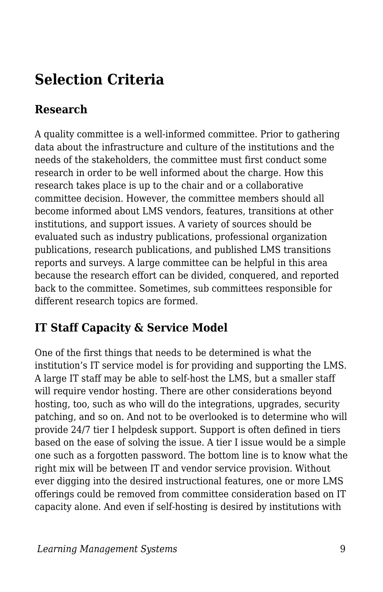### **Selection Criteria**

#### **Research**

A quality committee is a well-informed committee. Prior to gathering data about the infrastructure and culture of the institutions and the needs of the stakeholders, the committee must first conduct some research in order to be well informed about the charge. How this research takes place is up to the chair and or a collaborative committee decision. However, the committee members should all become informed about LMS vendors, features, transitions at other institutions, and support issues. A variety of sources should be evaluated such as industry publications, professional organization publications, research publications, and published LMS transitions reports and surveys. A large committee can be helpful in this area because the research effort can be divided, conquered, and reported back to the committee. Sometimes, sub committees responsible for different research topics are formed.

#### **IT Staff Capacity & Service Model**

One of the first things that needs to be determined is what the institution's IT service model is for providing and supporting the LMS. A large IT staff may be able to self-host the LMS, but a smaller staff will require vendor hosting. There are other considerations beyond hosting, too, such as who will do the integrations, upgrades, security patching, and so on. And not to be overlooked is to determine who will provide 24/7 tier I helpdesk support. Support is often defined in tiers based on the ease of solving the issue. A tier I issue would be a simple one such as a forgotten password. The bottom line is to know what the right mix will be between IT and vendor service provision. Without ever digging into the desired instructional features, one or more LMS offerings could be removed from committee consideration based on IT capacity alone. And even if self-hosting is desired by institutions with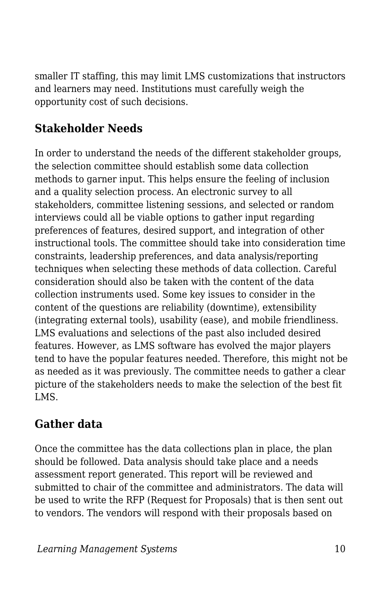smaller IT staffing, this may limit LMS customizations that instructors and learners may need. Institutions must carefully weigh the opportunity cost of such decisions.

#### **Stakeholder Needs**

In order to understand the needs of the different stakeholder groups, the selection committee should establish some data collection methods to garner input. This helps ensure the feeling of inclusion and a quality selection process. An electronic survey to all stakeholders, committee listening sessions, and selected or random interviews could all be viable options to gather input regarding preferences of features, desired support, and integration of other instructional tools. The committee should take into consideration time constraints, leadership preferences, and data analysis/reporting techniques when selecting these methods of data collection. Careful consideration should also be taken with the content of the data collection instruments used. Some key issues to consider in the content of the questions are reliability (downtime), extensibility (integrating external tools), usability (ease), and mobile friendliness. LMS evaluations and selections of the past also included desired features. However, as LMS software has evolved the major players tend to have the popular features needed. Therefore, this might not be as needed as it was previously. The committee needs to gather a clear picture of the stakeholders needs to make the selection of the best fit LMS.

#### **Gather data**

Once the committee has the data collections plan in place, the plan should be followed. Data analysis should take place and a needs assessment report generated. This report will be reviewed and submitted to chair of the committee and administrators. The data will be used to write the RFP (Request for Proposals) that is then sent out to vendors. The vendors will respond with their proposals based on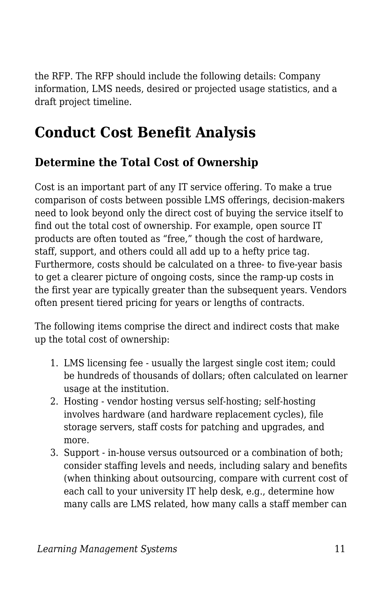the RFP. The RFP should include the following details: Company information, LMS needs, desired or projected usage statistics, and a draft project timeline.

### **Conduct Cost Benefit Analysis**

#### **Determine the Total Cost of Ownership**

Cost is an important part of any IT service offering. To make a true comparison of costs between possible LMS offerings, decision-makers need to look beyond only the direct cost of buying the service itself to find out the total cost of ownership. For example, open source IT products are often touted as "free," though the cost of hardware, staff, support, and others could all add up to a hefty price tag. Furthermore, costs should be calculated on a three- to five-year basis to get a clearer picture of ongoing costs, since the ramp-up costs in the first year are typically greater than the subsequent years. Vendors often present tiered pricing for years or lengths of contracts.

The following items comprise the direct and indirect costs that make up the total cost of ownership:

- 1. LMS licensing fee usually the largest single cost item; could be hundreds of thousands of dollars; often calculated on learner usage at the institution.
- 2. Hosting vendor hosting versus self-hosting; self-hosting involves hardware (and hardware replacement cycles), file storage servers, staff costs for patching and upgrades, and more.
- 3. Support in-house versus outsourced or a combination of both; consider staffing levels and needs, including salary and benefits (when thinking about outsourcing, compare with current cost of each call to your university IT help desk, e.g., determine how many calls are LMS related, how many calls a staff member can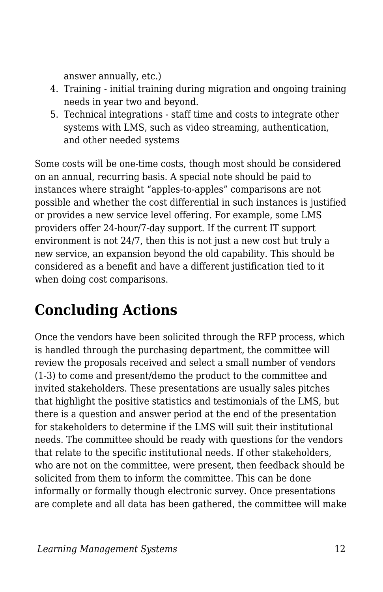answer annually, etc.)

- 4. Training initial training during migration and ongoing training needs in year two and beyond.
- 5. Technical integrations staff time and costs to integrate other systems with LMS, such as video streaming, authentication, and other needed systems

Some costs will be one-time costs, though most should be considered on an annual, recurring basis. A special note should be paid to instances where straight "apples-to-apples" comparisons are not possible and whether the cost differential in such instances is justified or provides a new service level offering. For example, some LMS providers offer 24-hour/7-day support. If the current IT support environment is not 24/7, then this is not just a new cost but truly a new service, an expansion beyond the old capability. This should be considered as a benefit and have a different justification tied to it when doing cost comparisons.

## **Concluding Actions**

Once the vendors have been solicited through the RFP process, which is handled through the purchasing department, the committee will review the proposals received and select a small number of vendors (1-3) to come and present/demo the product to the committee and invited stakeholders. These presentations are usually sales pitches that highlight the positive statistics and testimonials of the LMS, but there is a question and answer period at the end of the presentation for stakeholders to determine if the LMS will suit their institutional needs. The committee should be ready with questions for the vendors that relate to the specific institutional needs. If other stakeholders, who are not on the committee, were present, then feedback should be solicited from them to inform the committee. This can be done informally or formally though electronic survey. Once presentations are complete and all data has been gathered, the committee will make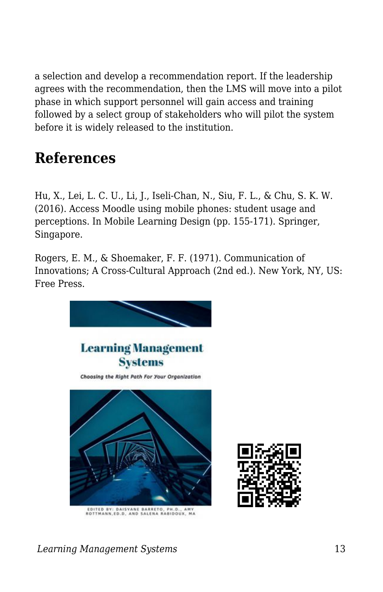a selection and develop a recommendation report. If the leadership agrees with the recommendation, then the LMS will move into a pilot phase in which support personnel will gain access and training followed by a select group of stakeholders who will pilot the system before it is widely released to the institution.

### **References**

Hu, X., Lei, L. C. U., Li, J., Iseli-Chan, N., Siu, F. L., & Chu, S. K. W. (2016). Access Moodle using mobile phones: student usage and perceptions. In Mobile Learning Design (pp. 155-171). Springer, Singapore.

Rogers, E. M., & Shoemaker, F. F. (1971). Communication of Innovations; A Cross-Cultural Approach (2nd ed.). New York, NY, US: Free Press.



.<br>EDITED BY: DAISYANE BARRETO, PH.D., AMY<br>IOTTMANN.ED.D. AND SALENA RABIDOUX, MA